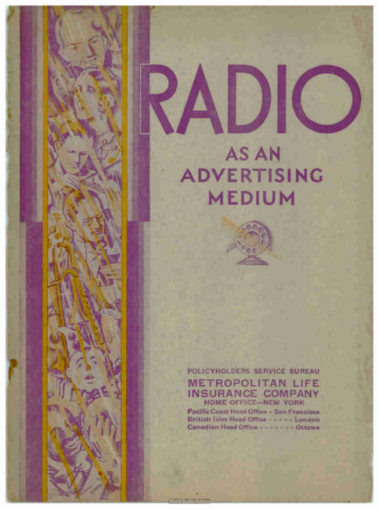

POLICYHOLDERS SERVICE BUREAU METROPOLITAN LIFE INSURANCE COMPANY HOME OFFICE—NEW YORK

r II

Pacific Coast Head Office - San Francisco British Isles Head Office - - - - - London Canadian Head Office - - - - - - - Ottawa

**World Radio History**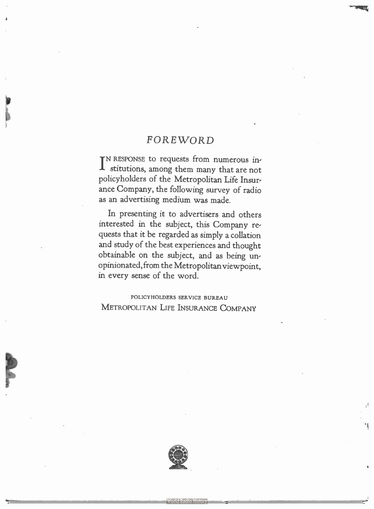### FOREWORD

IN RESPONSE to requests from numerous in-<br>stitutions, among them many that are not stitutions, among them many that are not policyholders of the Metropolitan Life Insurance Company, the following survey of radio as an advertising medium was made.

In presenting it to advertisers and others interested in the subject, this Company requests that it be regarded as simply a collation and study of the best experiences and thought obtainable on the subject, and as being unopinionated, from the Metropolitan viewpoint, in every sense of the word.

POLICYHOLDERS SERVICE BUREAU METROPOLITAN LIFE INSURANCE COMPANY

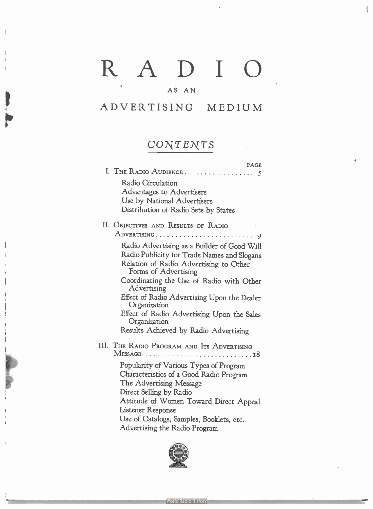# RADIO

Ţ

#### AS AN

### ADVERTISING MEDIUM

## CONTENTS

| <b>PAGE</b>                                                                                                  |
|--------------------------------------------------------------------------------------------------------------|
|                                                                                                              |
| <b>Radio Circulation</b>                                                                                     |
| Advantages to Advertisers                                                                                    |
| Use by National Advertisers                                                                                  |
| Distribution of Radio Sets by States                                                                         |
| II. OBJECTIVES AND RESULTS OF RADIO                                                                          |
|                                                                                                              |
| Radio Advertising as a Builder of Good Will                                                                  |
| Radio Publicity for Trade Names and Slogans                                                                  |
| Relation of Radio Advertising to Other                                                                       |
| Forms of Advertising                                                                                         |
| Coordinating the Use of Radio with Other<br>Advertising                                                      |
| Effect of Radio Advertising Upon the Dealer<br>Organization                                                  |
| Effect of Radio Advertising Upon the Sales<br>Organization                                                   |
| Results Achieved by Radio Advertising                                                                        |
| III. THE RADIO PROGRAM AND ITS ADVERTISING                                                                   |
| Popularity of Various Types of Program<br>Characteristics of a Good Radio Program<br>The Advertising Message |
| Direct Selling by Radio                                                                                      |
| Attitude of Women Toward Direct Appeal                                                                       |
| <b>Listener Response</b>                                                                                     |
| Use of Catalogs, Samples, Booklets, etc.                                                                     |
| $\mathbf{1}$ and $\mathbf{1}$ and $\mathbf{1}$ and $\mathbf{1}$                                              |

Advertising the Radio Program

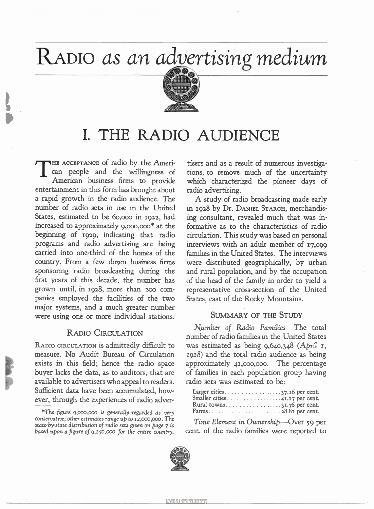## RADIO as an advertising medium



## I. THE RADIO AUDIENCE

 $\mathrm{T}^{\scriptscriptstyle\mathsf{E}}$ HE ACCEPTANCE of radio by the American people and the willingness of American business firms to provide entertainment in this form has brought about a rapid growth in the radio audience. The number of radio sets in use in the United States, estimated to be 6o,000 in 1922, had increased to approximately 9,000,00o\* at the beginning of 1929, indicating that radio programs and radio advertising are being carried into one-third of the homes of the country. From a few dozen business firms sponsoring radio broadcasting during the first years of this decade, the number has grown until, in 1928, more than zoo companies employed the facilities of the two major systems, and a much greater number were using one or more individual stations.

#### RADIO CIRCULATION

RADIO CIRCULATION is admittedly difficult to measure. No Audit Bureau of Circulation exists in this field; hence the radio space buyer lacks the data, as to auditors, that are available to advertisers who appeal to readers. Sufficient data have been accumulated, however, through the experiences of radio adver-

tisers and as a result of numerous investigations, to remove much of the uncertainty which characterized the pioneer days of radio advertising.

A study of radio broadcasting made early in 1928 by Dr. DANIEL STARCH, merchandising consultant, revealed much that was informative as to the characteristics of radio circulation. This study was based on personal interviews with an adult member of 17,099 families in the United States. The interviews were distributed geographically, by urban and rural population, and by the occupation of the head of the family in order to yield a representative cross-section of the United States, east of the Rocky Mountains.

#### SUMMARY OF THE STUDY

Number of Radio Families—The total number of radio families in the United States was estimated as being 9,640,348 (April I, 1928) and the total radio audience as being approximately 41,000,000. The percentage of families in each population group having radio sets was estimated to be:

| Rural towns31.76 per cent. |  |
|----------------------------|--|
|                            |  |

Time Element in Ownership—Over 59 per cent. of the radio families were reported to



<sup>\*</sup>The figure 9,000,000 is generally regarded as very conservative; other estimates range up to 12,000,000. The state-by-state distribution of radio sets given on page 7 is based upon a figure of 9,250,000 for the entire country.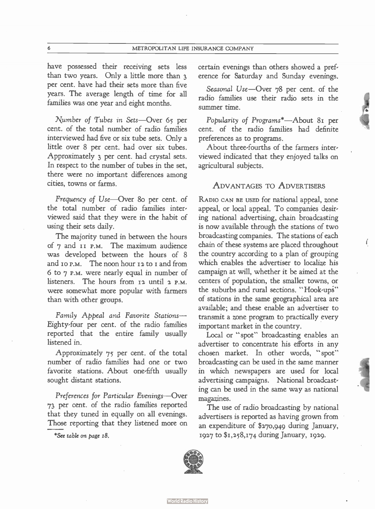have possessed their receiving sets less than two years. Only a little more than 3 per cent. have had their sets more than five years. The average length of time for all families was one year and eight months.

Number of Tubes in Sets—Over 65 per cent. of the total number of radio families interviewed had five or six tube sets. Only a little over 8 per cent. had over six tubes. Approximately 3 per cent. had crystal sets. In respect to the number of tubes in the set, there were no important differences among cities, towns or farms.

Frequency of Use—Over 8o per cent. of the total number of radio families interviewed said that they were in the habit of using their sets daily.

The majority tuned in between the hours of 7 and ii P.M. The maximum audience was developed between the hours of 8 and 10 P.M. The noon hour 12 to I and from 6 to 7 P.M. were nearly equal in number of listeners. The hours from 12 until 2 P.M. were somewhat more popular with farmers than with other groups.

Family Appeal and Favorite Stations— Eighty-four per cent. of the radio families reported that the entire family usually listened in.

Approximately 75 per cent. of the total number of radio families had one or two favorite stations. About one-fifth usually sought distant stations.

Preferences for Particular Evenings—Over 73 per cent. of the radio families reported that they tuned in equally on all evenings. Those reporting that they listened more on

\*See table on page 18.

certain evenings than others showed a preference for Saturday and Sunday evenings.

Seasonal Use—Over 78 per cent. of the radio families use their radio sets in the summer time.

Popularity of Programs\*—About 81 per cent. of the radio families had definite preferences as to programs.

About three-fourths of the farmers interviewed indicated that they enjoyed talks on agricultural subjects.

#### ADVANTAGES TO ADVERTISERS

RADIO CAN BE USED for national appeal, zone appeal, or local appeal. To companies desiring national advertising, chain broadcasting is now available through the stations of two broadcasting companies. The stations of each chain of these systems are placed throughout the country according to a plan of grouping which enables the advertiser to localize his campaign at will, whether it be aimed at the centers of population, the smaller towns, or the suburbs and rural sections. " Hook-ups' of stations in the same geographical area are available; and these enable an advertiser to transmit a zone program to practically every important market in the country.

 $\left($ 

Local or "spot" broadcasting enables an advertiser to concentrate his efforts in any chosen market. In other words, " spot" broadcasting can be used in the same manner in which newspapers are used for local advertising campaigns. National broadcasting can be used in the same way as national magazines.

The use of radio broadcasting by national advertisers is reported as having grown from an expenditure of \$270,949 during January, 1927 to \$1,258,174 during January, 1929.

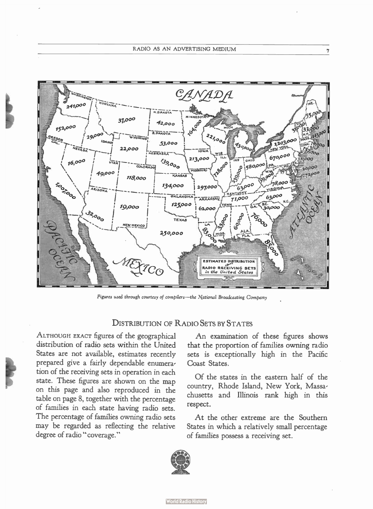

Figures used through courtesy of compilers—the National Broadcasting Company

#### DISTRIBUTION OF RADIO SETS BY STATES

ALTHOUGH EXACT figures of the geographical distribution of radio sets within the United States are not available, estimates recently prepared give a fairly dependable enumeration of the receiving sets in operation in each state. These figures are shown on the map on this page and also reproduced in the table on page 8, together with the percentage of families in each state having radio sets. The percentage of families owning radio sets may be regarded as reflecting the relative degree of radio "coverage."

An examination of these figures shows that the proportion of families owning radio sets is exceptionally high in the Pacific Coast States.

Of the states in the eastern half of the country, Rhode Island, New York, Massachusetts and Illinois rank high in this respect.

At the other extreme are the Southern States in which a relatively small percentage of families possess a receiving set.

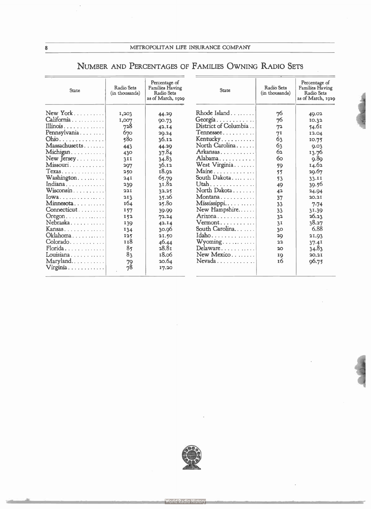### NUMBER AND PERCENTAGES OF FAMILIES OWNING RADIO SETS

| <b>State</b>                | Radio Sets<br>(in thousands) | Percentage of<br><b>Families Having</b><br><b>Radio Sets</b><br>as of March, 1929 | <b>State</b>                                   | Radio Sets<br>(in thousands) | Percentage of<br><b>Families Having</b><br>Radio Sets<br>as of March, 1929 |  |
|-----------------------------|------------------------------|-----------------------------------------------------------------------------------|------------------------------------------------|------------------------------|----------------------------------------------------------------------------|--|
| New York                    | 1,203                        | 44.29                                                                             | $Rhode$ Island $\ldots \ldots$                 | 76                           | 49.02                                                                      |  |
| California                  | 1,007                        | 90.73                                                                             |                                                | 76                           | 10.32                                                                      |  |
| Illinois                    | 728                          | 42.14                                                                             | District of Columbia                           | 72                           | 54.61                                                                      |  |
| Pennsylvania                | 670                          | 20.24                                                                             | $T$ ennessee                                   | 71                           | 12.04                                                                      |  |
| Ohio.                       | 580                          | 36.12                                                                             | Kentucky                                       | 63                           | 10.75                                                                      |  |
| Massachusetts               | 443                          | 44.20                                                                             | North Carolina                                 | 63                           | Q.03                                                                       |  |
| Michigan                    | 430                          | 37.84                                                                             | Arkansas                                       | 62                           | 13.76                                                                      |  |
| New Jersey                  | 3II                          | 34.83                                                                             | Alabama                                        | 60                           | Q.8Q                                                                       |  |
| Missouri                    | 207                          | 36.12                                                                             | West Virginia                                  | 59                           | 14.62                                                                      |  |
| $Texas \ldots \ldots$       | 250                          | 18.92                                                                             | $Maine \ldots \ldots$                          | 55                           | 29.67                                                                      |  |
| Washington                  | 24I                          | 65.79                                                                             | South Dakota                                   | 53                           | 33.II                                                                      |  |
| Indiana                     | 239                          | 31.82                                                                             | Utah                                           | 49                           | 39.56                                                                      |  |
| Wisconsin                   | 22I                          | 32.25                                                                             | North Dakota                                   | 42                           | 24.94                                                                      |  |
| $Iowa \ldots \ldots \ldots$ | 213                          | 35.26                                                                             | Montana                                        | 37                           | 20.2I                                                                      |  |
| Minnesota                   | 164                          | 25.80                                                                             | $\mathbf{M}$ ississippi $\ldots \ldots \ldots$ | 33                           | 7.74                                                                       |  |
| Connecticut                 | 157                          | 39.99                                                                             | New Hampshire                                  | 33                           | 31.39                                                                      |  |
| $O$ regon                   | 152                          | 72.24                                                                             | Arizona                                        | 32                           | 26.23                                                                      |  |
| Nebraska                    | 139                          | 42.I4                                                                             | Vermont                                        | 3I                           | 38.27                                                                      |  |
| Kansas                      | 134                          | 30.96                                                                             | South Carolina                                 | 30                           | 6.88                                                                       |  |
| Oklahoma                    | 125                          | 21.50                                                                             | $Idaho \ldots $                                | 2Q                           | 21.93                                                                      |  |
| $colorado.$                 | 118                          | 46.44                                                                             | $Wyoming \ldots \ldots \ldots$                 | 22                           | 37.41                                                                      |  |
| Florida                     | 8 <sub>5</sub>               | 28.8t                                                                             | Delaware                                       | 20                           | 34.83                                                                      |  |
| Louisiana                   | 83                           | 18.06                                                                             | $New Mexico$                                   | IQ                           | 20.2I                                                                      |  |
| Maryland                    | 79                           | 20.64                                                                             | $N$ evada                                      | 16                           | 96.75                                                                      |  |
| Virginia                    | 78                           | 17.20                                                                             |                                                |                              |                                                                            |  |

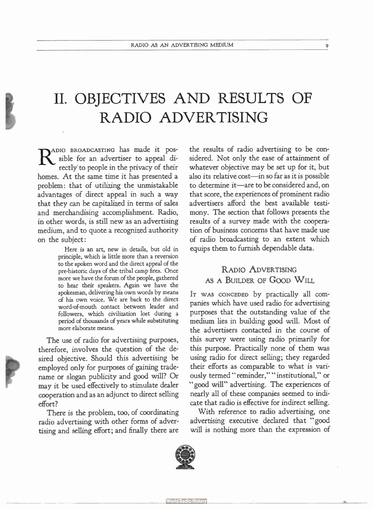## II. OBJECTIVES AND RESULTS OF RADIO ADVERTISING

RADIO BROADCASTING has made it pos-<br>sible for an advertiser to appeal di-<br>rectly to people in the privacy of their sible for an advertiser to appeal directly to people in the privacy of their homes. At the same time it has presented a problem: that of utilizing the unmistakable advantages of direct appeal in such a way that they can be capitalized in terms of sales and merchandising accomplishment. Radio, in other words, is still new as an advertising medium, and to quote a recognized authority on the subject:

> Here is an art, new in details, but old in principle, which is little more than a reversion to the spoken word and the direct appeal of the pre-historic days of the tribal camp fires. Once more we have the forum of the people, gathered to hear their speakers. Again we have the spokesman, delivering his own words by means of his own voice. We are back to the direct word-of-mouth contact between leader and followers, which civilization lost during a period of thousands of years while substituting more elaborate means.

The use of radio for advertising purposes, therefore, involves the question of the de, sired objective. Should this advertising be employed only for purposes of gaining tradename or slogan publicity and good will? Or may it be used effectively to stimulate dealer cooperation and as an adjunct to direct selling effort?

There is the problem, too, of coordinating radio advertising with other forms of advertising and selling effort; and finally there are the results of radio advertising to be considered. Not only the ease of attainment of whatever objective may be set up for it, but also its relative cost—in so far as it is possible to determine it—are to be considered and, on that score, the experiences of prominent radio advertisers afford the best available testimony. The section that follows presents the results of a survey made with the cooperation of business concerns that have made use of radio broadcasting to an extent which equips them to furnish dependable data.

#### RADIO ADVERTISING AS A BUILDER OF GOOD WILL.

IT WAS CONCEDED by practically all companies which have used radio for advertising purposes that the outstanding value of the medium lies in building good will. Most of the advertisers contacted in the course of this survey were using radio primarily for this purpose. Practically none of them was using radio for direct selling; they regarded their efforts as comparable to what is variously termed " reminder," " institutional," or " good will" advertising. The experiences of nearly all of these companies seemed to indicate that radio is effective for indirect selling.

With reference to radio advertising, one advertising executive declared that " good will is nothing more than the expression of



**World Radio History**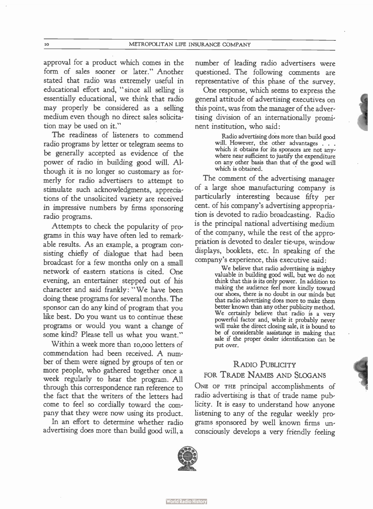approval for a product which comes in the form of sales sooner or later." Another stated that radio was extremely useful in educational effort and, " since all selling is essentially educational, we think that radio may properly be considered as a selling medium even though no direct sales solicitation may be used on it."

The readiness of listeners to commend radio programs by letter or telegram seems to be generally accepted as evidence of the power of radio in building good will. Although it is no longer so customary as formerly for radio advertisers to attempt to stimulate such acknowledgments, appreciations of the unsolicited variety are received in impressive numbers by firms sponsoring radio programs.

Attempts to check the popularity of programs in this way have often led to remarkable results. As an example, a program consisting chiefly of dialogue that had been broadcast for a few months only on a small network of eastern stations is cited. One evening, an entertainer stepped out of his character and said frankly: " We have been doing these programs for several months. The sponsor can do any kind of program that you like best. Do you want us to continue these programs or would you want a change of some kind? Please tell us what you want."

Within a week more than 10,000 letters of commendation had been received. A number of them were signed by groups of ten or more people, who gathered together once a week regularly to hear the program. All through this correspondence ran reference to the fact that the writers of the letters had come to feel so cordially toward the company that they were now using its product.

In an effort to determine whether radio advertising does more than build good will, a number of leading radio advertisers were questioned. The following comments are representative of this phase of the survey.

One response, which seems to express the general attitude of advertising executives on this point, was from the manager of the advertising division of an internationally prominent institution, who said:

> Radio advertising does more than build good will. However, the other advantages . . . which it obtains for its sponsors are not anywhere near sufficient to justify the expenditure on any other basis than that of the good will which is obtained.

The comment of the advertising manager of a large shoe manufacturing company is particularly interesting because fifty per cent. of his company's advertising appropriation is devoted to radio broadcasting. Radio is the principal national advertising medium of the company, while the rest of the appropriation is devoted to dealer tie-ups, window displays, booklets, etc. In speaking of the company's experience, this executive said:

> We believe that radio advertising is mighty valuable in building good will, but we do not think that this is its only power. In addition to making the audience feel more kindly toward our shoes, there is no doubt in our minds but that radio advertising does more to make them better known than any other publicity method. We certainly believe that radio is a very powerful factor and, while it probably never will make the direct closing sale, it is bound to be of considerable assistance in making that sale if the proper dealer identification can be put over.

#### RADIO PUBLICITY

#### FOR TRADE NAMES AND SLOGANS

ONE OF THE principal accomplishments of radio advertising is that of trade name publicity. It is easy to understand how anyone listening to any of the regular weekly programs sponsored by well known firms unconsciously develops a very friendly feeling

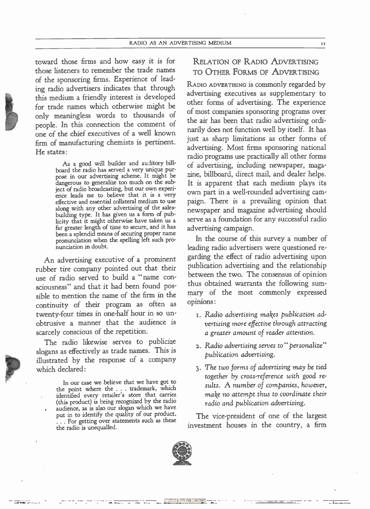toward those firms and how easy it is for those listeners to remember the trade names of the sponsoring firms. Experience of leading radio advertisers indicates that through this medium a friendly interest is developed for trade names which otherwise might be only meaningless words to thousands of people. In this connection the comment of one of the chief executives of a well known firm of manufacturing chemists is pertinent. He states:

> As a good will builder and auditory billboard the radio has served a very unique purpose in our advertising scheme. It might be dangerous to generalize too much on the subject of radio broadcasting, but our own experience leads me to believe that it is a very effective and essential collateral medium to use along with any other advertising of the salesbuilding type. It has given us a form of publicity that it might otherwise have taken us a far greater length of time to secure, and it has been a splendid means of securing proper name pronunciation when the spelling left such pronunciation in doubt.

An advertising executive of a prominent rubber tire company pointed out that their use of radio served to build a "name consciousness" and that it had been found possible to mention the name of the firm in the continuity of their program as often as twenty-four times in one-half hour in so unobtrusive a manner that the audience is scarcely conscious of the repetition.

The radio likewise serves to publicize slogans as effectively as trade names. This is illustrated by the response of a company which declared:

In our case we believe that we have got to the point where the . . . trademark, which identified every retailer's store that carries (this product) is being recognized by the radio audience, as is also our slogan which we have put in to identify the quality of our product. . . . For getting over statements such as these the radio is unequalled.

RELATION OF RADIO ADVERTISING TO OTHER FORMS OF ADVERTISING

RADIO ADVERTISING iS commonly regarded by advertising executives as supplementary to other forms of advertising. The experience of most companies sponsoring programs over the air has been that radio advertising ordinarily does not function well by itself. It has just as sharp limitations as other forms of advertising. Most firms sponsoring national radio programs use practically all other forms of advertising, including newspaper, magazine, billboard, direct mail, and dealer helps. It is apparent that each medium plays its own part in a well-rounded advertising campaign. There is a prevailing opinion that newspaper and magazine advertising should serve as a foundation for any successful radio advertising campaign.

In the course of this survey a number of leading radio advertisers were questioned regarding the effect of radio advertising upon publication advertising and the relationship between the two. The consensus of opinion thus obtained warrants the following summary of the most commonly expressed opinions:

- 1. Radio advertising makes publication advertising more effective through attracting a greater amount of reader attention.
- 2. Radio advertising serves to "personalize" publication advertising.
- 3. The two forms of advertising may be tied together by cross-reference with good results. A number of companies, however, make no attempt thus to coordinate their radio and publication advertising.

The vice-president of one of the largest investment houses in the country, a firm

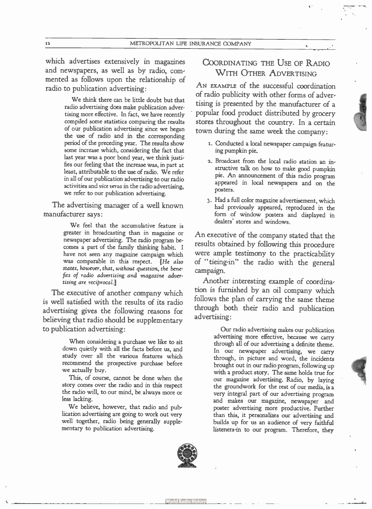which advertises extensively in magazines and newspapers, as well as by radio, commented as follows upon the relationship of radio to publication advertising:

> We think there can be little doubt but that radio advertising does make publication advertising more effective. In fact, we have recently compiled some statistics comparing the results of our publication advertising since we began the use of radio and in the corresponding period of the preceding year. The results show some increase which, considering the fact that last year was a poor bond year, we think justifies our feeling that the increase was, in part at least, attributable to the use of radio. We refer in all of our publication advertising to our radio activities and vice versa in the radio advertising, we refer to our publication advertising.

The advertising manager of a well known manufacturer says:

> We feel that the accumulative feature is greater in broadcasting than in magazine or newspaper advertising. The radio program becomes a part of the family thinking habit. I have not seen any magazine campaign which was comparable in this respect. [He also states, however, that, without question, the benefits of radio advertising and magazine advertising are reciprocal.]

The executive of another company which is well satisfied with the results of its radio advertising gives the following reasons for believing that radio should be supplementary to publication advertising:

> When considering a purchase we like to sit down quietly with all the facts before us, and study over all the various features which recommend the prospective purchase before we actually buy.

> This, of course, cannot be done when the story comes over the radio and in this respect the radio will, to our mind, be always more or less lacking.

> We believe, however, that radio and publication advertising are going to work out very well together, radio being generally supplementary to publication advertising.

#### COORDINATING THE USE OF RADIO WITH OTHER ADVERTISING

AN EXAMPLE of the successful coordination of radio publicity with other forms of advertising is presented by the manufacturer of a popular food product distributed by grocery stores throughout the country. In a certain town during the same week the company:

- 1. Conducted a local newspaper campaign featuring pumpkin pie.
- 2. Broadcast from the local radio station an instructive talk on how to make good pumpkin pie. An announcement of this radio program appeared in local newspapers and on the posters.
- 3. Had a full color magazine advertisement, which had previously appeared, reproduced in the form of window posters and displayed in dealers' stores and windows.

An executive of the company stated that the results obtained by following this procedure were ample testimony to the practicability of " tieing-in" the radio with the general campaign.

Another interesting example of coordination is furnished by an oil company which follows the plan of carrying the same theme through both their radio and publication advertising:

> Our radio advertising makes our publication advertising more effective, because we carry through all of our advertising a definite theme. In our newspaper advertising, we carry through, in picture and word, the incidents brought out in our radio program, following up with a product story. The same holds true for our magazine advertising. Radio, by laying the groundwork for the rest of our media, is a very integral part of our advertising program and makes our magazine, newspaper and poster advertising more productive. Further than this, it personalizes our advertising and builds up for us an audience of very faithful listeners-in to our program. Therefore, they

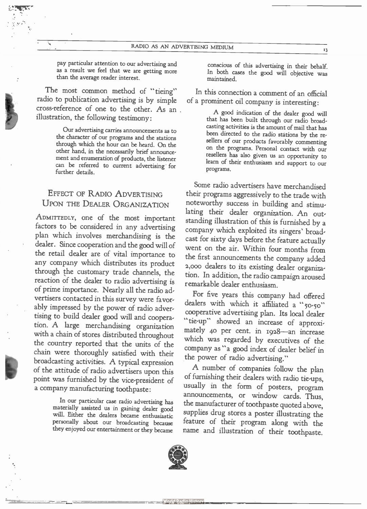pay particular attention to our advertising and as a result we feel that we are getting more than the average reader interest.

The most common method of "tieing" radio to publication advertising is by simple cross-reference of one to the other. As an illustration, the following testimony:

 $\mathcal{G}_1$  ,  $\mathcal{G}_2$  ,  $\mathcal{G}_3$  ,  $\mathcal{G}_4$ 

Our advertising carries announcements as to the character of our programs and the stations through which the hour can be heard. On the other hand, in the necessarily brief announcement and enumeration of products, the listener can be referred to current advertising for further details.

#### EFFECT OF RADIO ADVERTISING UPON THE DEALER ORGANIZATION

ADMITTEDLY, one of the most important factors to be considered in any advertising plan which involves merchandising is the dealer. Since cooperation and the good will of the retail dealer are of vital importance to any company which distributes its product through the customary trade channels, the reaction of the dealer to radio advertising is of prime importance. Nearly all the radio advertisers contacted in this survey were favorably impressed by the power of radio advertising to build dealer good will and cooperation. A large merchandising organization with a chain of stores distributed throughout the country reported that the units of the chain were thoroughly satisfied with their broadcasting activities. A typical expression of the attitude of radio advertisers upon this point was furnished by the vice-president of a company manufacturing toothpaste:

> In our particular case radio advertising has materially assisted us in gaining dealer good will. Either the dealers became enthusiastic personally about our broadcasting because they enjoyed our entertainment or they became

conscious of this advertising in their behalf. In both cases the good will objective was maintained.

In this connection a comment of an official of a prominent oil company is interesting:

> A good indication of the dealer good will that has been built through our radio broadcasting activities is the amount of mail that has been directed to the radio stations by the resellers of our products favorably commenting on the programs. Personal contact with our resellers has also given us an opportunity to learn of their enthusiasm and support to our programs.

Some radio advertisers have merchandised their programs aggressively to the trade with noteworthy success in building and stimulating their dealer organization. An outstanding illustration of this is furnished by a company which exploited its singers' broadcast for sixty days before the feature actually went on the air. Within four months from the first announcements the company added 2,000 dealers to its existing dealer organization. In addition, the radio campaign aroused remarkable dealer enthusiasm.

For five years this company had offered dealers with which it affiliated a " $50-50$ " cooperative advertising plan. Its local dealer "tie-up" showed an increase of approximately 40 per cent. in I928—an increase which was regarded by executives of the company as "a good index of dealer belief in the power of radio advertising."

A number of companies follow the plan of furnishing their dealers with radio tie-ups, usually in the form of posters, program announcements, or window cards. Thus, the manufacturer of toothpaste quoted above, supplies drug stores a poster illustrating the feature of their program along with the name and illustration of their toothpaste.



13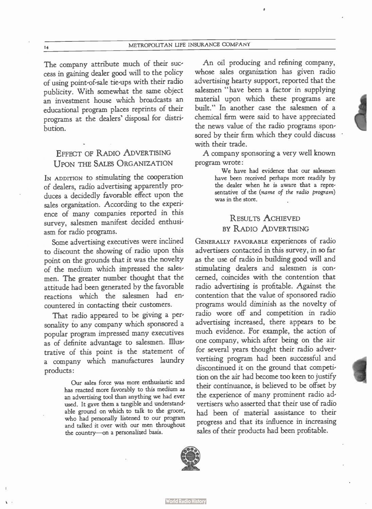The company attribute much of their success in gaining dealer good will to the policy of using point-of-sale tie-ups with their radio publicity. With somewhat the same object an investment house which broadcasts an educational program places reprints of their programs at the dealers' disposal for distribution.

#### EFFECT OF RADIO ADVERTISING UPON THE SALES ORGANIZATION

IN ADDITION to stimulating the cooperation of dealers, radio advertising apparently produces a decidedly favorable effect upon the sales organization. According to the experience of many companies reported in this survey, salesmen manifest decided enthusiasm for radio programs.

Some advertising executives were inclined to discount the showing of radio upon this point on the grounds that it was the novelty of the medium which impressed the salesmen. The greater number thought that the attitude had been generated by the favorable reactions which the salesmen had encountered in contacting their customers.

That radio appeared to be giving a personality to any company which sponsored a popular program impressed many executives as of definite advantage to salesmen. Illustrative of this point is the statement of a company which manufactures laundry products:

> Our sales force was more enthusiastic and has reacted more favorably to this medium as an advertising tool than anything we had ever used. It gave them a tangible and understandable ground on which to talk to the grocer, who had personally listened to our program and talked it over with our men throughout the country—on a personalized basis.

An oil producing and refining company, whose sales organization has given radio advertising hearty support, reported that the salesmen "have been a factor in supplying material upon which these programs are built." In another case the salesmen of a chemical firm were said to have appreciated the news value of the radio programs sponsored by their firm which they could discuss with their trade.

A company sponsoring a very well known program wrote:

> We have had evidence that our salesmen have been received perhaps more readily by the dealer when he is aware that a representative of the (name of the radio program) was in the store.

#### RESULTS ACHIEVED BY RADIO ADVERTISING

GENERALLY FAVORABLE experiences of radio advertisers contacted in this survey, in so far as the use of radio in building good will and stimulating dealers and salesmen is concerned, coincides with the contention that radio advertising is profitable. Against the contention that the value of sponsored radio programs would diminish as the novelty of radio wore off and competition in radio advertising increased, there appears to be much evidence. For example, the action of one company, which after being on the air for several years thought their radio adververtising program had been successful and discontinued it on the ground that competition on the air had become too keen to justify their continuance, is believed to be offset by the experience of many prominent radio advertisers who asserted that their use of radio had been of material assistance to their progress and that its influence in increasing sales of their products had been profitable.

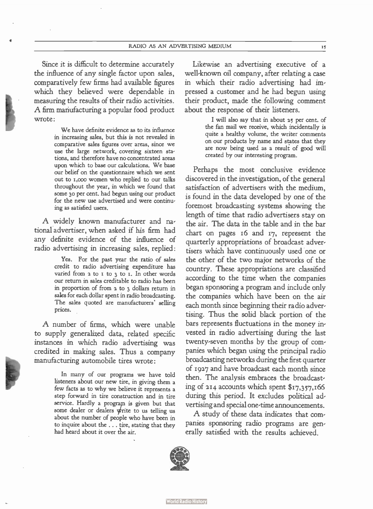Since it is difficult to determine accurately the influence of any single factor upon sales, comparatively few firms had available figures which they believed were dependable in measuring the results of their radio activities. A firm manufacturing a popular food product wrote:

> We have definite evidence as to its influence in increasing sales, but this is not revealed in comparative sales figures over areas, since we use the large network, covering sixteen stations, and therefore have no concentrated areas upon which to base our calculations. We base our belief on the questionnaire which we sent out to i,000 women who replied to our talks throughout the year, in which we found that some 30 per cent, had begun using our product for the new use advertised and were continuing as satisfied users.

A widely known manufacturer and national advertiser, when asked if his firm had any definite evidence of the influence of radio advertising in increasing sales, replied:

> Yes. For the past year the ratio of sales credit to radio advertising expenditure has varied from  $2$  to  $1$  to  $3$  to  $1$ . In other words our return in sales creditable to radio has been in proportion of from 2 to 3 dollars return in sales for each dollar spent in radio broadcasting. The sales quoted are manufacturers' selling prices.

A number of firms, which were unable to supply generalized data, related specific instances in which radio advertising was credited in making sales. Thus a company manufacturing automobile tires wrote:

> In many of our programs we have told listeners about our new tire, in giving them a few facts as to why we believe it represents a step forward in tire construction and in tire service. Hardly a program is given but that some dealer or dealers write to us telling us about the number of people who have been in to inquire about the . . . tire, stating that they had heard about it over the air.

Likewise an advertising executive of a well-known oil company, after relating a case in which their radio advertising had impressed a customer and he had begun using their product, made the following comment about the response of their listeners.

> I will also say that in about 25 per cent, of the fan mail we receive, which incidentally is quite a healthy volume, the writer comments on our products by name and states that they are now being used as a result of good will created by our interesting program.

Perhaps the most conclusive evidence discovered in the investigation, of the general satisfaction of advertisers with the medium, is found in the data developed by one of the foremost broadcasting systems showing the length of time that radio advertisers stay on the air. The data in the table and in the bar chart on pages 16 and 17, represent the quarterly appropriations of broadcast advertisers which have continuously used one or the other of the two major networks of the country. These appropriations are classified according to the time when the companies began sponsoring a program and include only the companies which have been on the air each month since beginning their radio advertising. Thus the solid black portion of the bars represents fluctuations in the money invested in radio advertising during the last twenty-seven months by the group of companies which began using the principal radio broadcasting networks during the first quarter of 1927 and have broadcast each month since then. The analysis embraces the broadcasting of 214 accounts which spent  $$17,357,166$ during this period. It excludes political advertising and special one-time announcements.

A study of these data indicates that companies sponsoring radio programs are generally satisfied with the results achieved.

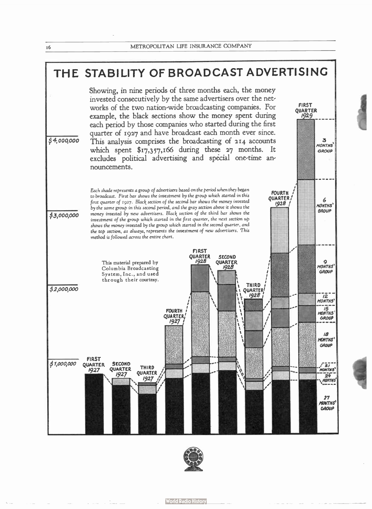



**World Radio History**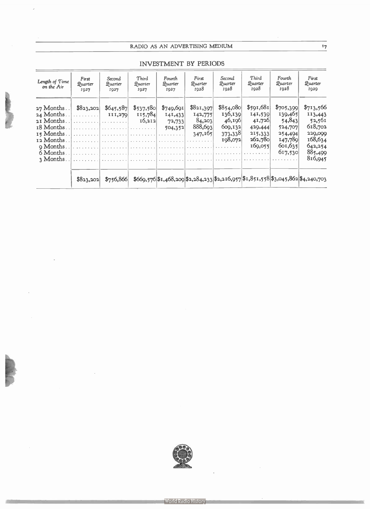#### RADIO AS AN ADVERTISING MEDIUM 17

 $\overline{\phantom{a}}$ 

| Length of Time<br>on the Air | First<br>Quarter<br>1027 | Second<br>Quarter<br>1927 | Third<br>Quarter<br><b>IQ27</b>                             | Fourth<br>Quarter<br><b>IQ27</b> | First<br>Quarter<br>1028 | Second<br>Quarter<br>1928 | Third<br>Quarter<br>1028                                                                     | Fourth<br>Quarter<br>1928 | <b>First</b><br>Quarter<br>I <sub>029</sub> |
|------------------------------|--------------------------|---------------------------|-------------------------------------------------------------|----------------------------------|--------------------------|---------------------------|----------------------------------------------------------------------------------------------|---------------------------|---------------------------------------------|
| $27$ Months                  | \$823,202                | \$645,587                 | \$537,580                                                   | \$749,691                        | \$821,397                | \$854,080                 | \$591,681                                                                                    | \$705,399                 | \$713,566                                   |
| 24 Months.                   | . 1                      | <b>III,270</b>            | 115,784                                                     | 141,433                          | 142,775                  | 136,139                   | 141,539                                                                                      | 139,465                   | II3,443                                     |
| 21 Months.                   |                          | .                         | 16,212                                                      | 72,733                           | 84,203                   | 46,196                    | 41,726                                                                                       | 54,843                    | 52,561                                      |
| 18 Months.                   |                          |                           |                                                             | 504,352                          | 888,693                  | 609,132                   | 429,444                                                                                      | 524,707                   | 618,702                                     |
| 15 Months.                   |                          |                           |                                                             |                                  | 347,165                  | 373,338                   | 215,333                                                                                      | 254,494                   | 229,099                                     |
| 12 Months.                   |                          |                           | والمستحدث والمستنقص والمتعارف والمستحدث والمستحدث والمنادرة |                                  |                          | 198,072                   | 262,780                                                                                      | 147,789                   | 168,634                                     |
| <b>9</b> Months.             |                          |                           |                                                             |                                  |                          |                           | 169,055                                                                                      | 601,635                   | 642,254                                     |
| 6 Months.                    |                          |                           |                                                             |                                  |                          |                           |                                                                                              | 617,530                   | 885,499                                     |
| 3 Months.                    |                          |                           |                                                             |                                  | .                        |                           |                                                                                              |                           | 816,945                                     |
|                              | \$823,202]               |                           |                                                             |                                  |                          |                           | $$756,866$ \$669,576 \$1,468,209 \$2,284,233 \$2,216,957 \$1,851,558 \$3,045,862 \$4,240,703 |                           |                                             |

#### INVESTMENT BY PERIODS



**World Radio History** 

and the control of the property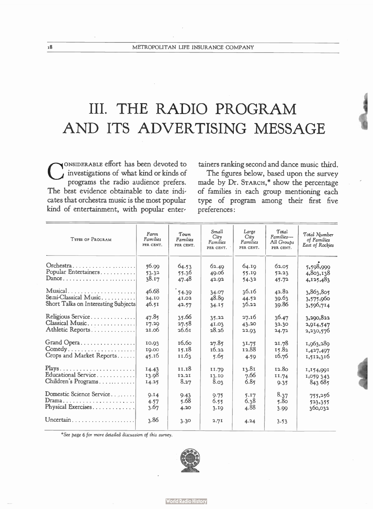## III. THE RADIO PROGRAM AND ITS ADVERTISING MESSAGE

 $\mathbf{C}^2$ ONSIDERABLE effort has been devoted to investigations of what kind or kinds of programs the radio audience prefers. The best evidence obtainable to date indicates that orchestra music is the most popular kind of entertainment, with popular entertainers ranking second and dance music third.

The figures below, based upon the survey made by Dr. STARCH,\* show the percentage of families in each group mentioning each type of program among their first five preferences:

| <b>TYPES OF PROGRAM</b>             | Farm<br><b>Families</b><br>PER CENT. | Town<br>Families<br>PER CENT. | Small<br>$C$ ity<br><b>Families</b><br>PER CENT. | Large<br>Citv<br>Families<br>PER CENT. | Total<br>Families-<br>All Groups<br>PER CENT. | Total Number<br>of Families<br><b>East of Rockies</b> |
|-------------------------------------|--------------------------------------|-------------------------------|--------------------------------------------------|----------------------------------------|-----------------------------------------------|-------------------------------------------------------|
| Orchestra                           | 56.99                                | 64.53                         | 62.40                                            | 64.IQ                                  | 62.05                                         | 5,598,999                                             |
| Popular Entertainers                | 53.32                                | 55.36                         | 49.06                                            | 55.19                                  | 52.23                                         | 4,803,138                                             |
| Dance                               | 38.17                                | 47.48                         | 42.92                                            | 54.32                                  | 45.72                                         | 4,125,483                                             |
| Musical                             | 46.68                                | 54.39                         | 34.07                                            | 36.16                                  | 42.82                                         | 3,863,805                                             |
| Semi-Classical Music                | 24.10                                | 41.02                         | 48.89                                            | 44.52                                  | 39.63                                         | 3,575,960                                             |
| Short Talks on Interesting Subjects | 46.51                                | 42.57                         | 34.15                                            | 36.22                                  | 39.86                                         | 3,596,714                                             |
| Religious Service                   | 47.85                                | 35.66                         | 35.22                                            | 27.16                                  | 36.47                                         | 3,290,822                                             |
| Classical Music                     | 17.29                                | 27.58                         | 41.03                                            | 43.20                                  | 32.30                                         | 2,914,547                                             |
| Athletic Reports                    | 21.06                                | 26.6 <sub>I</sub>             | 28.26                                            | 22.93                                  | 24.72                                         | 2,230,576                                             |
| Grand Opera                         | 10.03                                | 16.60                         | 27.85                                            | 31.75                                  | 21.78                                         | 1,963,289                                             |
| Comedy                              | 10.00                                | 15.18                         | 16.22                                            | 12.88                                  | 15.82                                         | 1,427,497                                             |
| Crops and Market Reports            | 45.16                                | 11.63                         | 5.65                                             | 4.59                                   | 16.76                                         | 1,512,316                                             |
| $Plays$                             | 14.43                                | 11.18                         | 11.79                                            | 13.81                                  | 12.80                                         | 1,154,001                                             |
| Educational Service                 | 13.98                                | 12.21                         | 13.10                                            | 7.66                                   | 11.74                                         | 1,059 343                                             |
| Children's Programs                 | 14.25                                | 8.27                          | 8.03                                             | 6.85                                   | 9.35                                          | 843 685                                               |
| Domestic Science Service            | Q.14                                 | 9.43                          | 9.75                                             | 5.17                                   | 8.37                                          | 755,256                                               |
| Drama                               | 4.57                                 | 5.68                          | 6.55                                             | 6.38                                   | 5.80                                          | 523,355                                               |
| Physical Exercises                  | 3.67                                 | 4.20                          | 3.19                                             | 4.88                                   | 3.99                                          | 360,032                                               |
| Uncertain                           | 3.86                                 | 3.30                          | 2.71                                             | 4.24                                   | 3.53                                          |                                                       |

\*See page 6 for more detailed discussion of this survey.

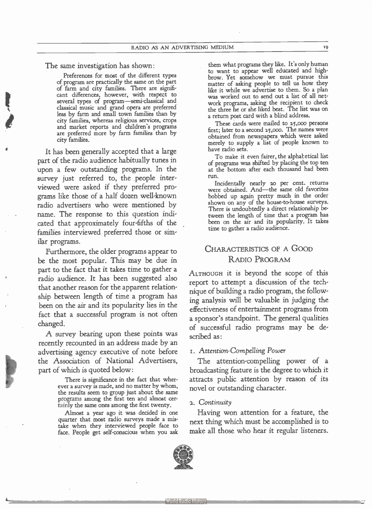The same investigation has shown:

Preferences for most of the different types of program are practically the same on the part of farm and city families. There are significant differences, however, with respect to several types of program—semi-classical and classical music and grand opera are preferred less by farm and small town families than by city families, whereas religious services, crops and market reports and children's programs are preferred more by farm families than by city families.

It has been generally accepted that a large part of the radio audience habitually tunes in upon a few outstanding programs. In the survey just referred to, the people interviewed were asked if they preferred programs like those of a half dozen well-known radio advertisers who were mentioned by name. The response to this question indicated that approximately four-fifths of the families interviewed preferred those or similar programs.

Furthermore, the older programs appear to be the most popular. This may be due in part to the fact that it takes time to gather a radio audience. It has been suggested also that another reason for the apparent relationship between length of time a program has been on the air and its popularity lies in the fact that a successful program is not often changed.

A survey bearing upon these points was recently recounted in an address made by an advertising agency executive of note before the Association of National Advertisers, part of which is quoted below:

> There is significance in the fact that wherever a survey is made, and no matter by whom, the results seem to group just about the same programs among the first ten and almost certainly the same ones among the first twenty.

> Almost a year ago it was decided in one quarter that most radio surveys made a mistake when they interviewed people face to face. People get self-conscious when you ask

them what programs they like. It's only human to want to appear well educated and highbrow. Yet somehow we must pursue this matter of asking people to tell us how they like it while we advertise to them. So a plan was worked out to send out a list of all network programs, asking the recipient to check the three he or she liked best. The list was on a return post card with a blind address.

These cards were mailed to 25,000 persons first; later to a second 25,000. The names were obtained from newspapers which were asked merely to supply a list of people known to have radio sets.

To make it even fairer, the alphabetical list of programs was shifted by placing the top ten at the bottom after each thousand had been run.

Incidentally nearly 20 per cent. returns were obtained. And—the same old favorites bobbed up again pretty much in the order shown on any of the house-to-house surveys. There is undoubtedly a direct relationship between the length of time that a program has been on the air and its popularity. It takes time to gather a radio audience.

#### CHARACTERISTICS OF A GOOD RADIO PROGRAM

ALTHOUGH it is beyond the scope of this report to attempt a discussion of the technique of building a radio program, the following analysis will be valuable in judging the effectiveness of entertainment programs from a sponsor's standpoint. The general qualities of successful radio programs may be described as:

#### 1. Attention-Compelling Power

The attention-compelling power of a broadcasting feature is the degree to which it attracts public attention by reason of its novel or outstanding character.

#### 2. Continuity

Having won attention for a feature, the next thing which must be accomplished is to make all those who hear it regular listeners.

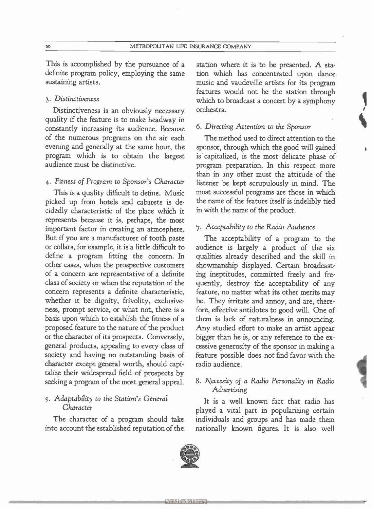This is accomplished by the pursuance of a definite program policy, employing the same sustaining artists.

#### 3. Distinctiveness

Distinctiveness is an obviously necessary quality if the feature is to make headway in constantly increasing its audience. Because of the numerous programs on the air each evening and generally at the same hour, the program which is to obtain the largest audience must be distinctive.

#### 4. Fitness of Program to Sponsor's Character

This is a quality difficult to define. Music picked up from hotels and cabarets is decidedly characteristic of the place which it represents because it is, perhaps, the most important factor in creating an atmosphere. But if you are a manufacturer of tooth paste or collars, for example, it is a little difficult to define a program fitting the concern. In other cases, when the prospective customers of a concern are representative of a definite class of society or when the reputation of the concern represents a definite characteristic, whether it be dignity, frivolity, exclusiveness, prompt service, or what not, there is a basis upon which to establish the fitness of a proposed feature to the nature of the product or the character of its prospects. Conversely, general products, appealing to every class of society and having no outstanding basis of character except general worth, should capitalize their widespread field of prospects by seeking a program of the most general appeal.

#### 5. Adaptability to the Station's General Character

The character of a program should take into account the established reputation of the

station where it is to be presented. A station which has concentrated upon dance music and vaudeville artists for its program features would not be the station through which to broadcast a concert by a symphony orchestra.

#### 6. Directing Attention to the Sponsor

The method used to direct attention to the sponsor, through which the good will gained is capitalized, is the most delicate phase of program preparation. In this respect more than in any other must the attitude of the listener be kept scrupulously in mind. The most successful programs are those in which the name of the feature itself is indelibly tied in with the name of the product.

#### 7. Acceptability to the Radio Audience

The acceptability of a program to the audience is largely a product of the six qualities already described and the skill in showmanship displayed. Certain broadcasting ineptitudes, committed freely and frequently, destroy the acceptability of any feature, no matter what its other merits may be. They irritate and annoy, and are, therefore, effective antidotes to good will. One of them is lack of naturalness in announcing. Any studied effort to make an artist appear bigger than he is, or any reference to the excessive generosity of the sponsor in making a feature possible does not find favor with the radio audience.

#### 8. Necessity of a Radio Personality in Radio Advertising

It is a well known fact that radio has played a vital part in popularizing certain individuals and groups and has made them nationally known figures. It is also well

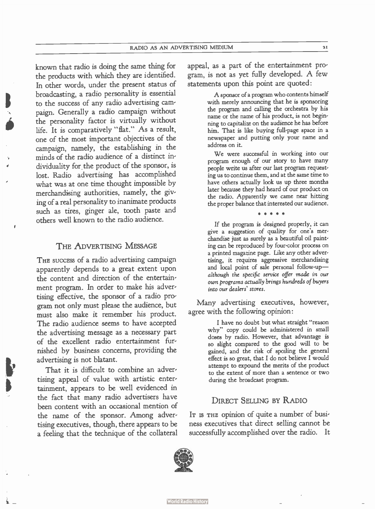broadcasting, a radio personality is essential<br>to the success of any radio advertising cam-<br>naim. Conorally, a radio campaign without known that radio is doing the same thing for the products with which they are identified. In other words, under the present status of to the success of any radio advertising campaign. Generally a radio campaign without the personality factor is virtually without life. It is comparatively " flat." As a result, one of the most important objectives of the campaign, namely, the establishing in the minds of the radio audience of a distinct individuality for the product of the sponsor, is lost. Radio advertising has accomplished what was at one time thought impossible by merchandising authorities, namely, the giving of a real personality to inanimate products such as tires, ginger ale, tooth paste and others well known to the radio audience.

#### THE ADVERTISING MESSAGE

,

I,

b

THE SUCCESS of a radio advertising campaign apparently depends to a great extent upon the content and direction of the entertainment program. In order to make his advertising effective, the sponsor of a radio program not only must please the audience, but must also make it remember his product. The radio audience seems to have accepted the advertising message as a necessary part of the excellent radio entertainment furnished by business concerns, providing the advertising is not blatant.

That it is difficult to combine an advertising appeal of value with artistic entertainment, appears to be well evidenced in the fact that many radio advertisers have been content with an occasional mention of the name of the sponsor. Among advertising executives, though, there appears to be a feeling that the technique of the collateral

appeal, as a part of the entertainment program, is not as yet fully developed. A few statements upon this point are quoted:

> A sponsor of a program who contents himself with merely announcing that he is sponsoring the program and calling the orchestra by his name or the name of his product, is not beginning to capitalize on the audience he has before him. That is like buying full-page space in a newspaper and putting only your name and address on it.

> We were successful in working into our program enough of our story to have many people write us after our last program requesting us to continue them, and at the same time to have others actually look us up three months later because they had heard of our product on the radio. Apparently we came near hitting the proper balance that interested our audience.

> > \* \* \* \* \*

If the program is designed properly, it can give a suggestion of quality for one's merchandise just as surely as a beautiful oil painting can be reproduced by four-color process on a printed magazine page. Like any other advertising, it requires aggressive merchandising and local point of sale personal follow-up although the specific service offer made in our own programs actually brings hundreds of buyers into our dealers' stores.

Many advertising executives, however, agree with the following opinion:

> I have no doubt but what straight "reason why" copy could be administered in small doses by radio. However, that advantage is so slight compared to the good will to be gained, and the risk of spoiling the general effect is so great, that I do not believe I would attempt to expound the merits of the product to the extent of more than a sentence or two during the broadcast program.

#### DIRECT SELLING BY RADIO

It is the opinion of quite a number of business executives that direct selling cannot be successfully accomplished over the radio. It



**World Radio History**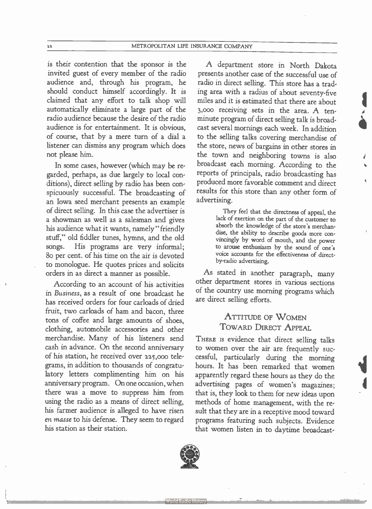22 METROPOLITAN LIFE INSURANCE COMPANY

is their contention that the sponsor is the invited guest of every member of the radio audience and, through his program, he should conduct himself accordingly. It is claimed that any effort to talk shop will automatically eliminate a large part of the radio audience because the desire of the radio audience is for entertainment. It is obvious, of course, that by a mere turn of a dial a listener can dismiss any program which does not please him.

In some cases, however (which may be regarded, perhaps, as due largely to local conditions), direct selling by radio has been conspicuously successful. The broadcasting of an Iowa seed merchant presents an example of direct selling. In this case the advertiser is a showman as well as a salesman and gives his audience what it wants, namely " friendly stuff," old fiddler tunes, hymns, and the old songs. His programs are very informal; 8o per cent. of his time on the air is devoted to monologue. He quotes prices and solicits orders in as direct a manner as possible.

According to an account of his activities in Business, as a result of one broadcast he has received orders for four carloads of dried fruit, two carloads of ham and bacon, three tons of coffee and large amounts of shoes, clothing, automobile accessories and other merchandise. Many of his listeners send cash in advance. On the second anniversary of his station, he received over 225,000 telegrams, in addition to thousands of congratulatory letters complimenting him on his anniversary program. On one occasion, when there was a move to suppress him from using the radio as a means of direct selling, his farmer audience is alleged to have risen en masse to his defense. They seem to regard his station as their station.

A department store in North Dakota presents another case of the successful use of radio in direct selling. This store has a trading area with a radius of about seventy-five miles and it is estimated that there are about 3,000 receiving sets in the area. A tenminute program of direct selling talk is broadcast several mornings each week. In addition to the selling talks covering merchandise of the store, news of bargains in other stores in the town and neighboring towns is also broadcast each morning. According to the reports of principals, radio broadcasting has produced more favorable comment and direct results for this store than any other form of advertising.

> They feel that the directness of appeal, the lack of exertion on the part of the customer to absorb the knowledge of the store's merchandise, the ability to describe goods more convincingly by word of mouth, and the power to arouse enthusiasm by the sound of one's voice accounts for the effectiveness of directby-radio advertising.

As stated in another paragraph, many other department stores in various sections of the country use morning programs which are direct selling efforts.

#### ATTITUDE OF WOMEN TOWARD DIRECT APPEAL

THERE IS evidence that direct selling talks to women over the air are frequently successful, particularly during the morning hours. It has been remarked that women apparently regard these hours as they do the advertising pages of women's magazines; that is, they look to them for new ideas upon methods of home management, with the result that they are in a receptive mood toward programs featuring such subjects. Evidence that women listen in to daytime broadcast-

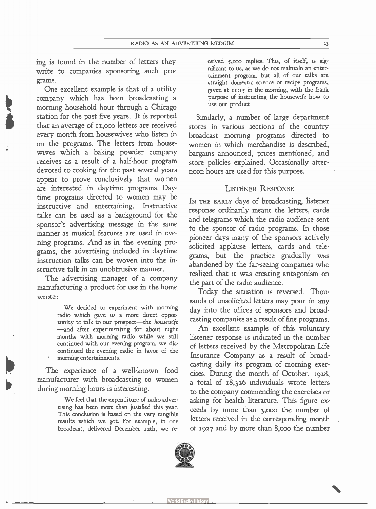ing is found in the number of letters they write to companies sponsoring such programs.

One excellent example is that of a utility company which has been broadcasting a morning household hour through a Chicago station for the past five years. It is reported that an average of 11,000 letters are received every month from housewives who listen in on the programs. The letters from housewives which a baking powder company receives as a result of a half-hour program devoted to cooking for the past several years appear to prove conclusively that women are interested in daytime programs. Daytime programs directed to women may be instructive and entertaining. Instructive talks can be used as a background for the sponsor's advertising message in the same manner as musical features are used in evening programs. And as in the evening programs, the advertising included in daytime instruction talks can be woven into the instructive talk in an unobtrusive manner.

The advertising manager of a company manufacturing a product for use in the home wrote:

> We decided to experiment with morning radio which gave us a more direct opportunity to talk to our prospect—the housewife —and after experimenting for about eight months with morning radio while we still continued with our evening program, we discontinued the evening radio in favor of the morning entertainments.

The experience of a well-known food manufacturer with broadcasting to women during morning hours is interesting.

> We feel that the expenditure of radio advertising has been more than justified this year. This conclusion is based on the very tangible results which we got. For example, in one broadcast, delivered December i2th, we re

ceived 5,000 replies. This, of itself, is significant to us, as we do not maintain an entertainment program, but all of our talks are straight domestic science or recipe programs, given at  $11$ :15 in the morning, with the frank purpose of instructing the housewife how to use our product.

Similarly, a number of large department stores in various sections of the country broadcast morning programs directed to women in which merchandise is described, bargains announced, prices mentioned, and store policies explained. Occasionally afternoon hours are used for this purpose.

#### LISTENER RESPONSE

IN THE EARLY days of broadcasting, listener response ordinarily meant the letters, cards and telegrams which the radio audience sent to the sponsor of radio programs. In those pioneer days many of the sponsors actively solicited applause letters, cards and telegrams, but the practice gradually was abandoned by the far-seeing companies who realized that it was creating antagonism on the part of the radio audience.

Today the situation is reversed. Thousands of unsolicited letters may pour in any day into the offices of sponsors and broadcasting companies as a result of fine programs.

An excellent example of this voluntary listener response is indicated in the number of letters received by the Metropolitan Life Insurance Company as a result of broadcasting daily its program of morning exercises. During the month of October, 1928, a total of 18,326 individuals wrote letters to the company commending the exercises or asking for health literature. This figure exceeds by more than 3,000 the number of letters received in the corresponding month of 1927 and by more than 8,000 the number

•

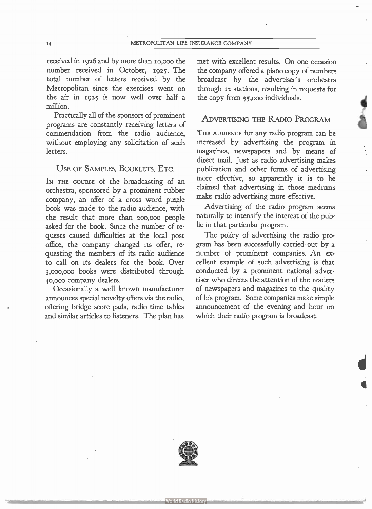received in 1926 and by more than io,000 the number received in October, 1925. The total number of letters received by the Metropolitan since the exercises went on the air in 1925 is now well over half a million.

Practically all of the sponsors of prominent programs are constantly receiving letters of commendation from the radio audience, without employing any solicitation of such letters.

#### USE OF SAMPLES, BOOKLETS, ETC.

IN THE COURSE of the broadcasting of an orchestra, sponsored by a prominent rubber company, an offer of a cross word puzzle book was made to the radio audience, with the result that more than 200,000 people asked for the book. Since the number of requests caused difficulties at the local post office, the company changed its offer, requesting the members of its radio audience to call on its dealers for the book. Over 3,000,000 books were distributed through 40,000 company dealers.

Occasionally a well known manufacturer announces special novelty offers via the radio, offering bridge score pads, radio time tables and similar articles to listeners. The plan has met with excellent results. On one occasion the company offered a piano copy of numbers broadcast by the advertiser's orchestra through 12 stations, resulting in requests for the copy from 55,000 individuals.

#### ADVERTISING THE RADIO PROGRAM

THE AUDIENCE for any radio program can be increased by advertising the program in magazines, newspapers and by means of direct mail. Just as radio advertising makes publication and other forms of advertising more effective, so apparently it is to be claimed that advertising in those mediums make radio advertising more effective.

Advertising of the radio program seems naturally to intensify the interest of the public in that particular program.

The policy of advertising the radio program has been successfully carried out by a number of prominent companies. An excellent example of such advertising is that conducted by a prominent national advertiser who directs the attention of the readers of newspapers and magazines to the quality of his program. Some companies make simple announcement of the evening and hour on which their radio program is broadcast.

d

 $\blacksquare$ 

,